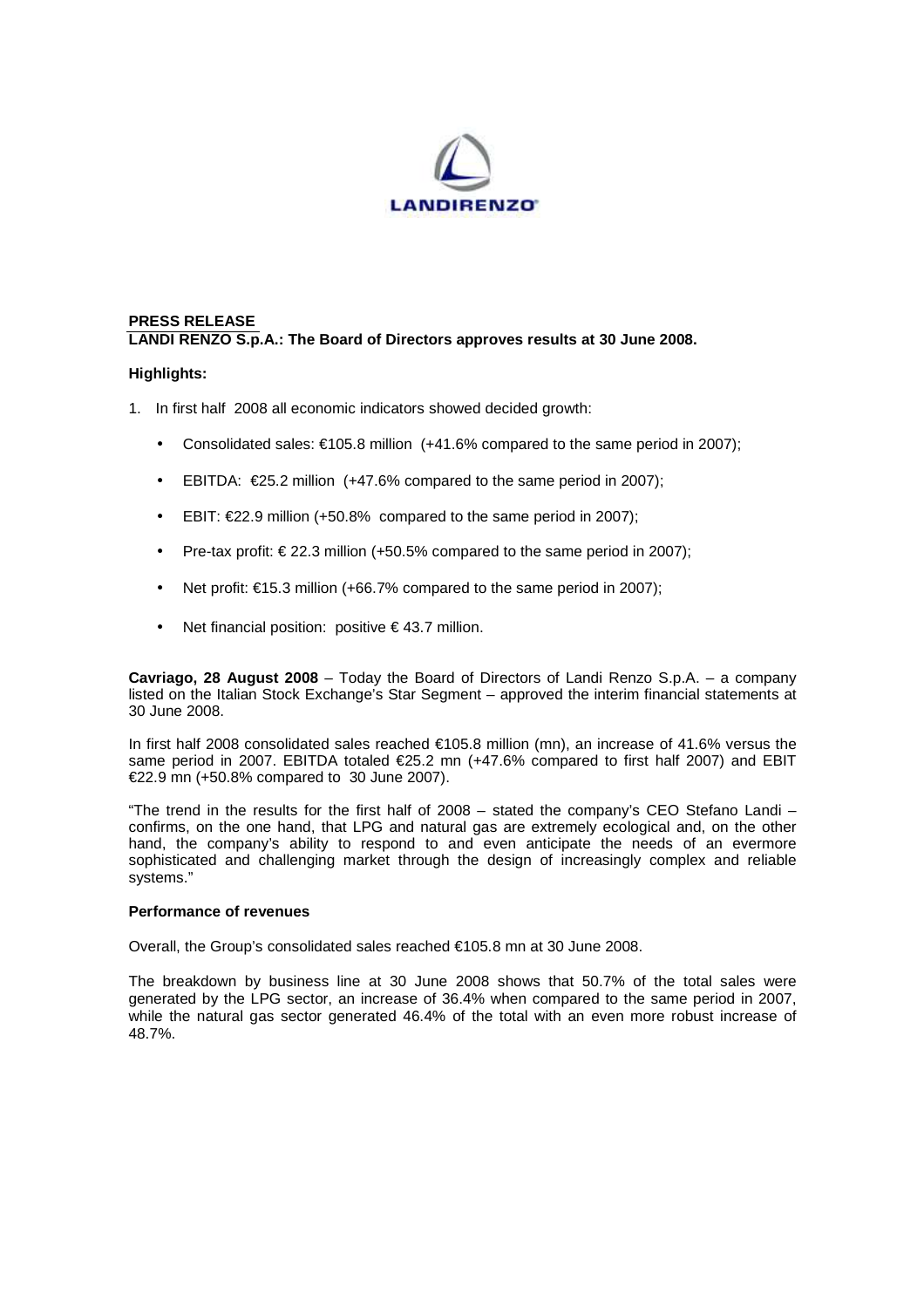

# **PRESS RELEASE LANDI RENZO S.p.A.: The Board of Directors approves results at 30 June 2008.**

## **Highlights:**

- 1. In first half 2008 all economic indicators showed decided growth:
	- Consolidated sales:  $\epsilon$ 105.8 million (+41.6% compared to the same period in 2007);
	- EBITDA:  $\epsilon$ 25.2 million (+47.6% compared to the same period in 2007);
	- EBIT: €22.9 million (+50.8% compared to the same period in 2007);
	- Pre-tax profit: € 22.3 million (+50.5% compared to the same period in 2007);
	- Net profit:  $\epsilon$ 15.3 million (+66.7% compared to the same period in 2007);
	- Net financial position: positive  $\epsilon$  43.7 million.

**Cavriago, 28 August 2008** – Today the Board of Directors of Landi Renzo S.p.A. – a company listed on the Italian Stock Exchange's Star Segment – approved the interim financial statements at 30 June 2008.

In first half 2008 consolidated sales reached €105.8 million (mn), an increase of 41.6% versus the same period in 2007. EBITDA totaled €25.2 mn (+47.6% compared to first half 2007) and EBIT €22.9 mn (+50.8% compared to 30 June 2007).

"The trend in the results for the first half of 2008 – stated the company's CEO Stefano Landi – confirms, on the one hand, that LPG and natural gas are extremely ecological and, on the other hand, the company's ability to respond to and even anticipate the needs of an evermore sophisticated and challenging market through the design of increasingly complex and reliable systems."

### **Performance of revenues**

Overall, the Group's consolidated sales reached €105.8 mn at 30 June 2008.

The breakdown by business line at 30 June 2008 shows that 50.7% of the total sales were generated by the LPG sector, an increase of 36.4% when compared to the same period in 2007, while the natural gas sector generated 46.4% of the total with an even more robust increase of 48.7%.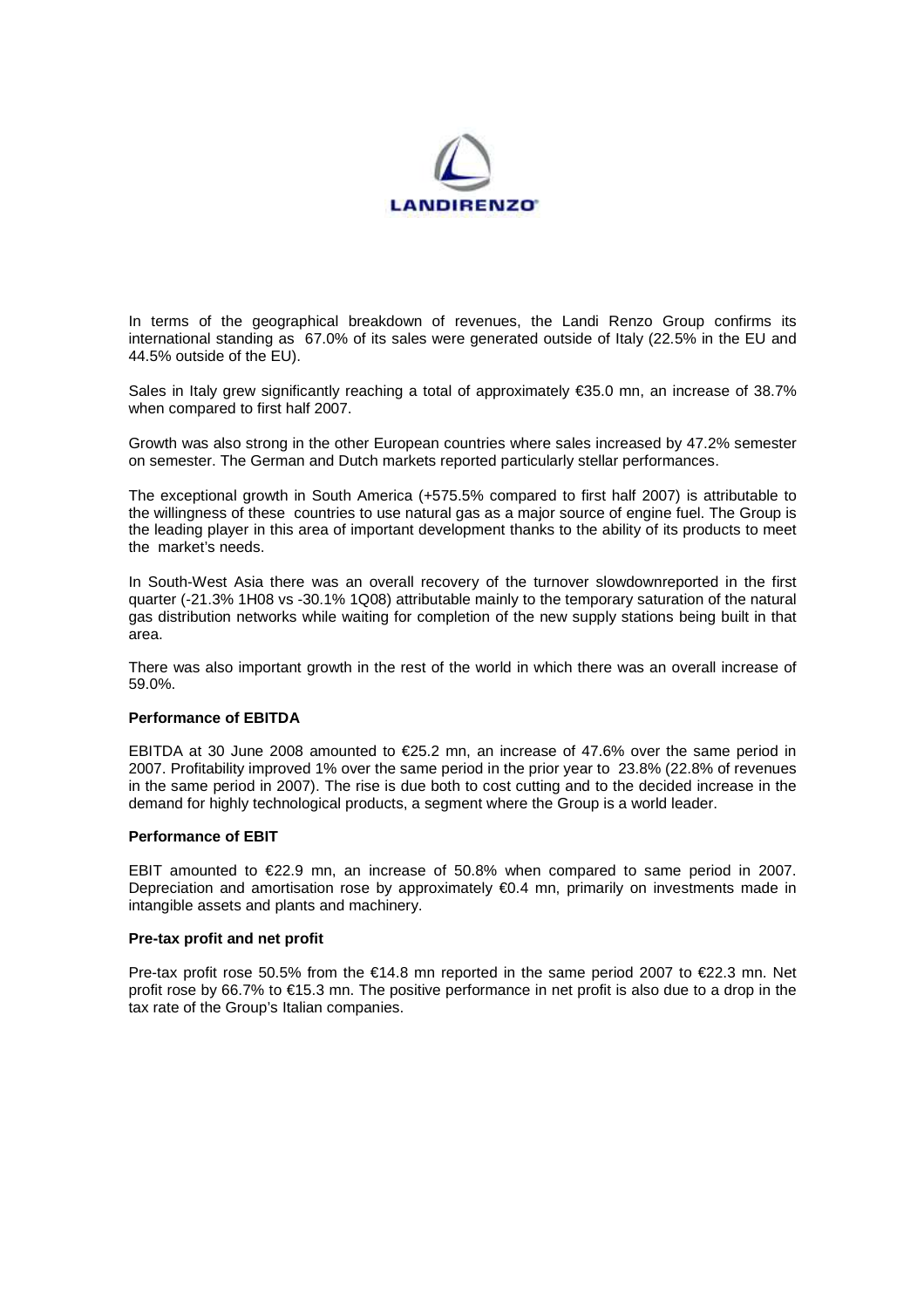

In terms of the geographical breakdown of revenues, the Landi Renzo Group confirms its international standing as 67.0% of its sales were generated outside of Italy (22.5% in the EU and 44.5% outside of the EU).

Sales in Italy grew significantly reaching a total of approximately €35.0 mn, an increase of 38.7% when compared to first half 2007.

Growth was also strong in the other European countries where sales increased by 47.2% semester on semester. The German and Dutch markets reported particularly stellar performances.

The exceptional growth in South America (+575.5% compared to first half 2007) is attributable to the willingness of these countries to use natural gas as a major source of engine fuel. The Group is the leading player in this area of important development thanks to the ability of its products to meet the market's needs.

In South-West Asia there was an overall recovery of the turnover slowdownreported in the first quarter (-21.3% 1H08 vs -30.1% 1Q08) attributable mainly to the temporary saturation of the natural gas distribution networks while waiting for completion of the new supply stations being built in that area.

There was also important growth in the rest of the world in which there was an overall increase of 59.0%.

## **Performance of EBITDA**

EBITDA at 30 June 2008 amounted to €25.2 mn, an increase of 47.6% over the same period in 2007. Profitability improved 1% over the same period in the prior year to 23.8% (22.8% of revenues in the same period in 2007). The rise is due both to cost cutting and to the decided increase in the demand for highly technological products, a segment where the Group is a world leader.

### **Performance of EBIT**

EBIT amounted to  $\epsilon$ 22.9 mn, an increase of 50.8% when compared to same period in 2007. Depreciation and amortisation rose by approximately €0.4 mn, primarily on investments made in intangible assets and plants and machinery.

### **Pre-tax profit and net profit**

Pre-tax profit rose 50.5% from the €14.8 mn reported in the same period 2007 to €22.3 mn. Net profit rose by 66.7% to €15.3 mn. The positive performance in net profit is also due to a drop in the tax rate of the Group's Italian companies.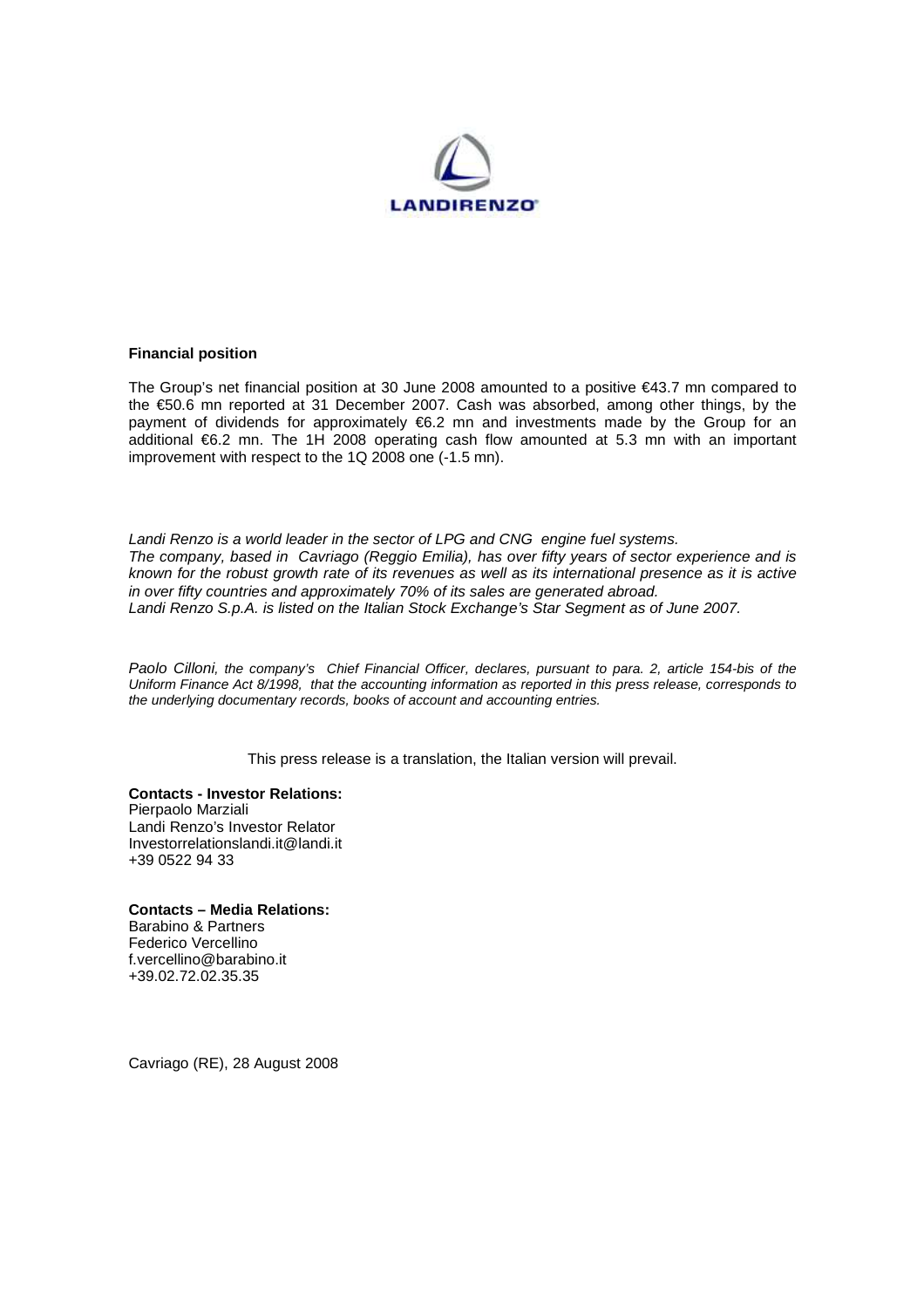

### **Financial position**

The Group's net financial position at 30 June 2008 amounted to a positive €43.7 mn compared to the €50.6 mn reported at 31 December 2007. Cash was absorbed, among other things, by the payment of dividends for approximately €6.2 mn and investments made by the Group for an additional €6.2 mn. The 1H 2008 operating cash flow amounted at 5.3 mn with an important improvement with respect to the 1Q 2008 one (-1.5 mn).

Landi Renzo is a world leader in the sector of LPG and CNG engine fuel systems. The company, based in Cavriago (Reggio Emilia), has over fifty years of sector experience and is known for the robust growth rate of its revenues as well as its international presence as it is active in over fifty countries and approximately 70% of its sales are generated abroad. Landi Renzo S.p.A. is listed on the Italian Stock Exchange's Star Segment as of June 2007.

Paolo Cilloni, the company's Chief Financial Officer, declares, pursuant to para. 2, article 154-bis of the Uniform Finance Act 8/1998, that the accounting information as reported in this press release, corresponds to the underlying documentary records, books of account and accounting entries.

This press release is a translation, the Italian version will prevail.

**Contacts - Investor Relations:**  Pierpaolo Marziali Landi Renzo's Investor Relator Investorrelationslandi.it@landi.it +39 0522 94 33

**Contacts – Media Relations:**  Barabino & Partners Federico Vercellino f.vercellino@barabino.it +39.02.72.02.35.35

Cavriago (RE), 28 August 2008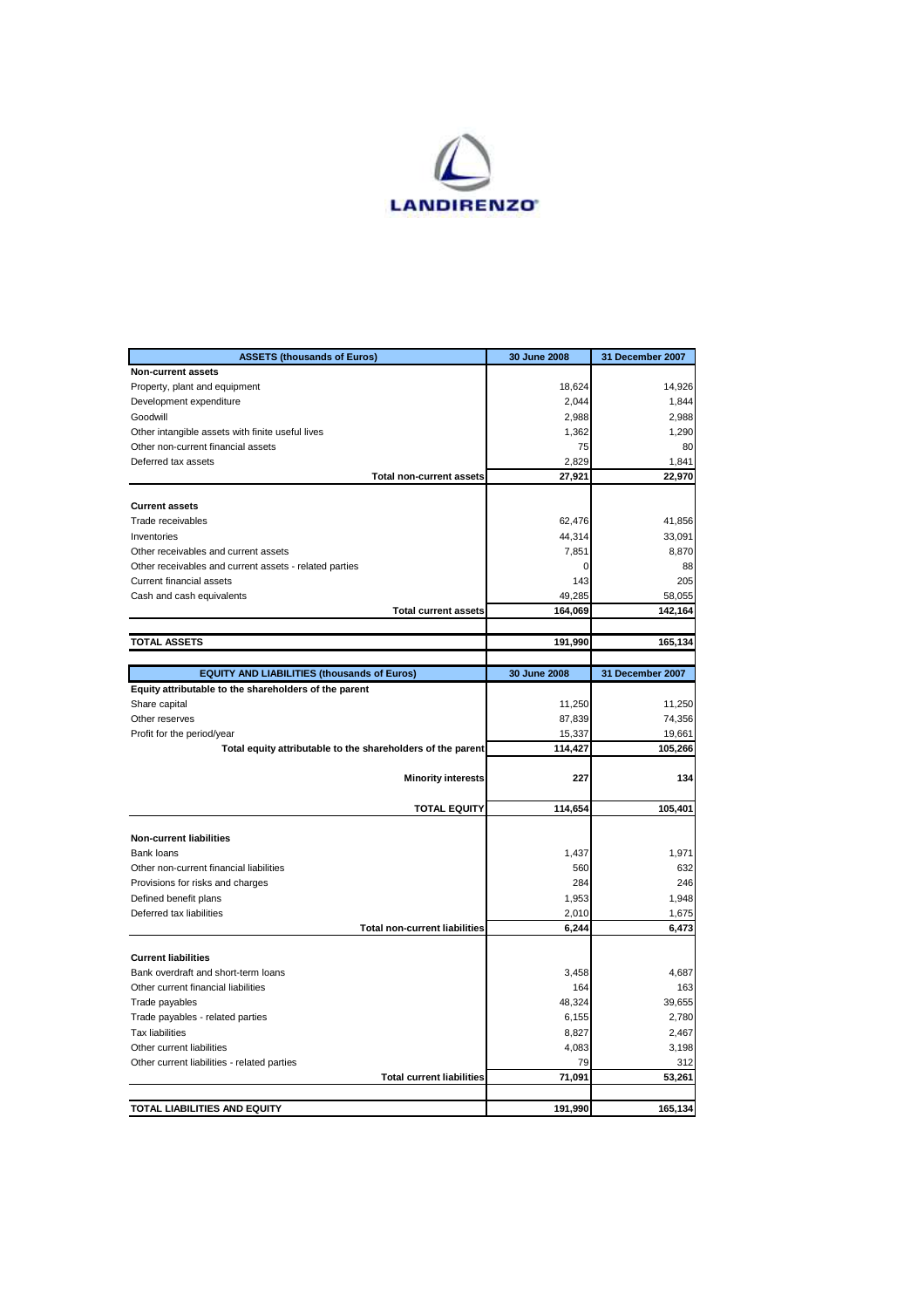

| <b>ASSETS (thousands of Euros)</b>                          | 30 June 2008 | 31 December 2007 |
|-------------------------------------------------------------|--------------|------------------|
| <b>Non-current assets</b>                                   |              |                  |
| Property, plant and equipment                               | 18,624       | 14,926           |
| Development expenditure                                     | 2,044        | 1,844            |
| Goodwill                                                    | 2,988        | 2,988            |
| Other intangible assets with finite useful lives            | 1,362        | 1,290            |
| Other non-current financial assets                          | 75           | 80               |
| Deferred tax assets                                         | 2,829        | 1,841            |
| <b>Total non-current assets</b>                             | 27,921       | 22,970           |
| <b>Current assets</b>                                       |              |                  |
| Trade receivables                                           | 62,476       | 41,856           |
| Inventories                                                 | 44,314       | 33,091           |
| Other receivables and current assets                        | 7,851        | 8,870            |
|                                                             | 0            | 88               |
| Other receivables and current assets - related parties      | 143          | 205              |
| Current financial assets<br>Cash and cash equivalents       | 49,285       | 58,055           |
| <b>Total current assets</b>                                 | 164,069      | 142,164          |
|                                                             |              |                  |
| <b>TOTAL ASSETS</b>                                         | 191,990      | 165,134          |
|                                                             |              |                  |
| <b>EQUITY AND LIABILITIES (thousands of Euros)</b>          | 30 June 2008 | 31 December 2007 |
| Equity attributable to the shareholders of the parent       |              |                  |
| Share capital                                               | 11,250       | 11,250           |
| Other reserves                                              | 87,839       | 74,356           |
| Profit for the period/year                                  | 15,337       | 19,661           |
| Total equity attributable to the shareholders of the parent | 114,427      | 105,266          |
| <b>Minority interests</b>                                   | 227          | 134              |
| <b>TOTAL EQUITY</b>                                         | 114,654      | 105,401          |
|                                                             |              |                  |
| <b>Non-current liabilities</b>                              |              |                  |
| Bank loans                                                  | 1,437        | 1,971            |
| Other non-current financial liabilities                     | 560          | 632              |
| Provisions for risks and charges                            | 284          | 246              |
| Defined benefit plans                                       | 1,953        | 1,948            |
| Deferred tax liabilities                                    | 2,010        | 1,675            |
| <b>Total non-current liabilities</b>                        | 6,244        | 6,473            |
| <b>Current liabilities</b>                                  |              |                  |
| Bank overdraft and short-term loans                         | 3,458        | 4,687            |
| Other current financial liabilities                         | 164          | 163              |
| Trade payables                                              | 48,324       | 39,655           |
| Trade payables - related parties                            | 6,155        | 2,780            |
| <b>Tax liabilities</b>                                      | 8,827        | 2,467            |
| Other current liabilities                                   | 4,083        | 3,198            |
| Other current liabilities - related parties                 | 79           | 312              |
| <b>Total current liabilities</b>                            | 71,091       | 53,261           |
|                                                             |              |                  |
| TOTAL LIABILITIES AND EQUITY                                | 191,990      | 165,134          |